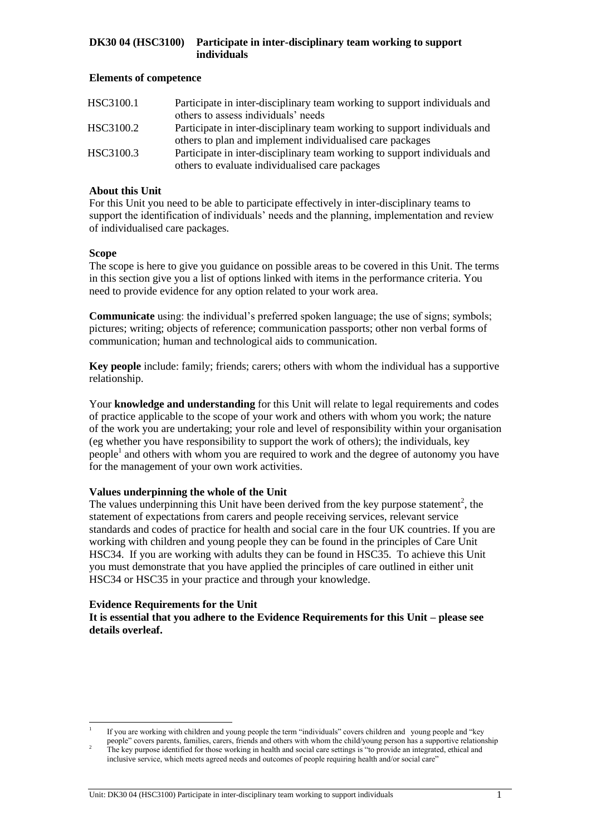## **Elements of competence**

| HSC3100.1 | Participate in inter-disciplinary team working to support individuals and |
|-----------|---------------------------------------------------------------------------|
|           | others to assess individuals' needs                                       |
| HSC3100.2 | Participate in inter-disciplinary team working to support individuals and |
|           | others to plan and implement individualised care packages                 |
| HSC3100.3 | Participate in inter-disciplinary team working to support individuals and |
|           | others to evaluate individualised care packages                           |

## **About this Unit**

For this Unit you need to be able to participate effectively in inter-disciplinary teams to support the identification of individuals' needs and the planning, implementation and review of individualised care packages.

# **Scope**

l

The scope is here to give you guidance on possible areas to be covered in this Unit. The terms in this section give you a list of options linked with items in the performance criteria. You need to provide evidence for any option related to your work area.

**Communicate** using: the individual's preferred spoken language; the use of signs; symbols; pictures; writing; objects of reference; communication passports; other non verbal forms of communication; human and technological aids to communication.

**Key people** include: family; friends; carers; others with whom the individual has a supportive relationship.

Your **knowledge and understanding** for this Unit will relate to legal requirements and codes of practice applicable to the scope of your work and others with whom you work; the nature of the work you are undertaking; your role and level of responsibility within your organisation (eg whether you have responsibility to support the work of others); the individuals, key people<sup>1</sup> and others with whom you are required to work and the degree of autonomy you have for the management of your own work activities.

## **Values underpinning the whole of the Unit**

The values underpinning this Unit have been derived from the key purpose statement<sup>2</sup>, the statement of expectations from carers and people receiving services, relevant service standards and codes of practice for health and social care in the four UK countries. If you are working with children and young people they can be found in the principles of Care Unit HSC34. If you are working with adults they can be found in HSC35. To achieve this Unit you must demonstrate that you have applied the principles of care outlined in either unit HSC34 or HSC35 in your practice and through your knowledge.

## **Evidence Requirements for the Unit**

**It is essential that you adhere to the Evidence Requirements for this Unit – please see details overleaf.**

<sup>1</sup> If you are working with children and young people the term "individuals" covers children and young people and "key people" covers parents, families, carers, friends and others with whom the child/young person has a supportive relationship

 $2<sup>2</sup>$  The key purpose identified for those working in health and social care settings is "to provide an integrated, ethical and inclusive service, which meets agreed needs and outcomes of people requiring health and/or social care"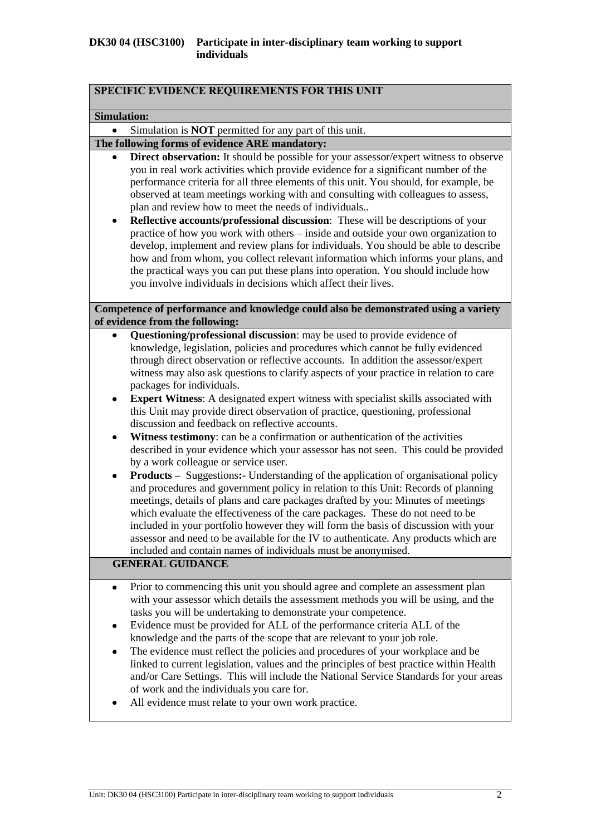| SPECIFIC EVIDENCE REQUIREMENTS FOR THIS UNIT                                                                                                                                                                                                                                                                                                                                                                                                                                                                                                                                                                                                                                                                                                                                                                                                                                                                                                                                                                                                                                                                                                                                                                                                                                                                                                                                                                                           |
|----------------------------------------------------------------------------------------------------------------------------------------------------------------------------------------------------------------------------------------------------------------------------------------------------------------------------------------------------------------------------------------------------------------------------------------------------------------------------------------------------------------------------------------------------------------------------------------------------------------------------------------------------------------------------------------------------------------------------------------------------------------------------------------------------------------------------------------------------------------------------------------------------------------------------------------------------------------------------------------------------------------------------------------------------------------------------------------------------------------------------------------------------------------------------------------------------------------------------------------------------------------------------------------------------------------------------------------------------------------------------------------------------------------------------------------|
| <b>Simulation:</b>                                                                                                                                                                                                                                                                                                                                                                                                                                                                                                                                                                                                                                                                                                                                                                                                                                                                                                                                                                                                                                                                                                                                                                                                                                                                                                                                                                                                                     |
| Simulation is <b>NOT</b> permitted for any part of this unit.                                                                                                                                                                                                                                                                                                                                                                                                                                                                                                                                                                                                                                                                                                                                                                                                                                                                                                                                                                                                                                                                                                                                                                                                                                                                                                                                                                          |
| The following forms of evidence ARE mandatory:                                                                                                                                                                                                                                                                                                                                                                                                                                                                                                                                                                                                                                                                                                                                                                                                                                                                                                                                                                                                                                                                                                                                                                                                                                                                                                                                                                                         |
| <b>Direct observation:</b> It should be possible for your assessor/expert witness to observe<br>you in real work activities which provide evidence for a significant number of the<br>performance criteria for all three elements of this unit. You should, for example, be<br>observed at team meetings working with and consulting with colleagues to assess,<br>plan and review how to meet the needs of individuals<br>Reflective accounts/professional discussion: These will be descriptions of your<br>practice of how you work with others – inside and outside your own organization to<br>develop, implement and review plans for individuals. You should be able to describe<br>how and from whom, you collect relevant information which informs your plans, and<br>the practical ways you can put these plans into operation. You should include how<br>you involve individuals in decisions which affect their lives.                                                                                                                                                                                                                                                                                                                                                                                                                                                                                                    |
| Competence of performance and knowledge could also be demonstrated using a variety<br>of evidence from the following:                                                                                                                                                                                                                                                                                                                                                                                                                                                                                                                                                                                                                                                                                                                                                                                                                                                                                                                                                                                                                                                                                                                                                                                                                                                                                                                  |
| Questioning/professional discussion: may be used to provide evidence of<br>knowledge, legislation, policies and procedures which cannot be fully evidenced<br>through direct observation or reflective accounts. In addition the assessor/expert<br>witness may also ask questions to clarify aspects of your practice in relation to care<br>packages for individuals.<br><b>Expert Witness:</b> A designated expert witness with specialist skills associated with<br>this Unit may provide direct observation of practice, questioning, professional<br>discussion and feedback on reflective accounts.<br>Witness testimony: can be a confirmation or authentication of the activities<br>٠<br>described in your evidence which your assessor has not seen. This could be provided<br>by a work colleague or service user.<br><b>Products</b> – Suggestions: Understanding of the application of organisational policy<br>and procedures and government policy in relation to this Unit: Records of planning<br>meetings, details of plans and care packages drafted by you: Minutes of meetings<br>which evaluate the effectiveness of the care packages. These do not need to be<br>included in your portfolio however they will form the basis of discussion with your<br>assessor and need to be available for the IV to authenticate. Any products which are<br>included and contain names of individuals must be anonymised. |
| <b>GENERAL GUIDANCE</b>                                                                                                                                                                                                                                                                                                                                                                                                                                                                                                                                                                                                                                                                                                                                                                                                                                                                                                                                                                                                                                                                                                                                                                                                                                                                                                                                                                                                                |
| Prior to commencing this unit you should agree and complete an assessment plan<br>with your assessor which details the assessment methods you will be using, and the<br>tasks you will be undertaking to demonstrate your competence.<br>Evidence must be provided for ALL of the performance criteria ALL of the<br>٠<br>knowledge and the parts of the scope that are relevant to your job role.<br>The evidence must reflect the policies and procedures of your workplace and be<br>٠<br>linked to current legislation, values and the principles of best practice within Health<br>and/or Care Settings. This will include the National Service Standards for your areas<br>of work and the individuals you care for.<br>All evidence must relate to your own work practice.                                                                                                                                                                                                                                                                                                                                                                                                                                                                                                                                                                                                                                                      |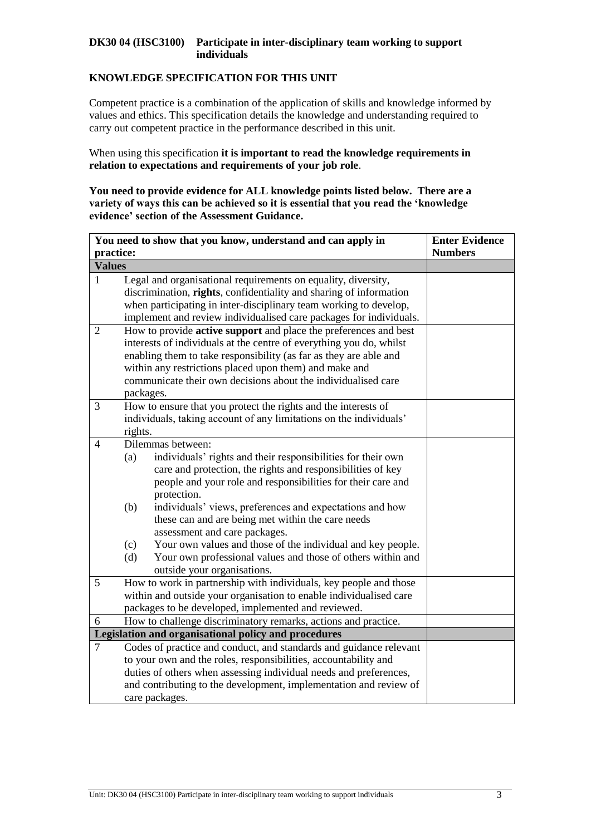# **KNOWLEDGE SPECIFICATION FOR THIS UNIT**

Competent practice is a combination of the application of skills and knowledge informed by values and ethics. This specification details the knowledge and understanding required to carry out competent practice in the performance described in this unit.

When using this specification **it is important to read the knowledge requirements in relation to expectations and requirements of your job role**.

**You need to provide evidence for ALL knowledge points listed below. There are a variety of ways this can be achieved so it is essential that you read the 'knowledge evidence' section of the Assessment Guidance.**

|                | You need to show that you know, understand and can apply in                                                                                                                                                                                                                                                                                                                                                                                                                                                                                                                | <b>Enter Evidence</b> |
|----------------|----------------------------------------------------------------------------------------------------------------------------------------------------------------------------------------------------------------------------------------------------------------------------------------------------------------------------------------------------------------------------------------------------------------------------------------------------------------------------------------------------------------------------------------------------------------------------|-----------------------|
| practice:      |                                                                                                                                                                                                                                                                                                                                                                                                                                                                                                                                                                            | <b>Numbers</b>        |
| <b>Values</b>  |                                                                                                                                                                                                                                                                                                                                                                                                                                                                                                                                                                            |                       |
| $\mathbf{1}$   | Legal and organisational requirements on equality, diversity,<br>discrimination, rights, confidentiality and sharing of information<br>when participating in inter-disciplinary team working to develop,<br>implement and review individualised care packages for individuals.                                                                                                                                                                                                                                                                                             |                       |
| $\overline{2}$ | How to provide <b>active support</b> and place the preferences and best<br>interests of individuals at the centre of everything you do, whilst<br>enabling them to take responsibility (as far as they are able and<br>within any restrictions placed upon them) and make and<br>communicate their own decisions about the individualised care<br>packages.                                                                                                                                                                                                                |                       |
| 3              | How to ensure that you protect the rights and the interests of<br>individuals, taking account of any limitations on the individuals'<br>rights.                                                                                                                                                                                                                                                                                                                                                                                                                            |                       |
| $\overline{4}$ | Dilemmas between:<br>individuals' rights and their responsibilities for their own<br>(a)<br>care and protection, the rights and responsibilities of key<br>people and your role and responsibilities for their care and<br>protection.<br>individuals' views, preferences and expectations and how<br>(b)<br>these can and are being met within the care needs<br>assessment and care packages.<br>Your own values and those of the individual and key people.<br>(c)<br>Your own professional values and those of others within and<br>(d)<br>outside your organisations. |                       |
| 5              | How to work in partnership with individuals, key people and those<br>within and outside your organisation to enable individualised care<br>packages to be developed, implemented and reviewed.                                                                                                                                                                                                                                                                                                                                                                             |                       |
| 6              | How to challenge discriminatory remarks, actions and practice.                                                                                                                                                                                                                                                                                                                                                                                                                                                                                                             |                       |
| $\overline{7}$ | Legislation and organisational policy and procedures<br>Codes of practice and conduct, and standards and guidance relevant<br>to your own and the roles, responsibilities, accountability and<br>duties of others when assessing individual needs and preferences,<br>and contributing to the development, implementation and review of<br>care packages.                                                                                                                                                                                                                  |                       |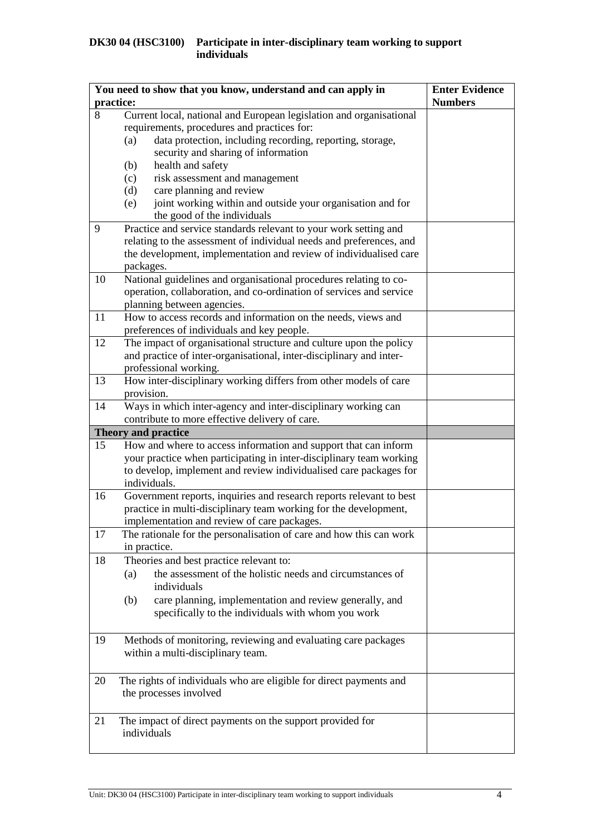|    | You need to show that you know, understand and can apply in<br>practice:                      | <b>Enter Evidence</b><br><b>Numbers</b> |
|----|-----------------------------------------------------------------------------------------------|-----------------------------------------|
| 8  | Current local, national and European legislation and organisational                           |                                         |
|    | requirements, procedures and practices for:                                                   |                                         |
|    | data protection, including recording, reporting, storage,<br>(a)                              |                                         |
|    | security and sharing of information                                                           |                                         |
|    | health and safety<br>(b)                                                                      |                                         |
|    | risk assessment and management<br>(c)                                                         |                                         |
|    | care planning and review<br>(d)                                                               |                                         |
|    | joint working within and outside your organisation and for<br>(e)                             |                                         |
|    | the good of the individuals                                                                   |                                         |
| 9  | Practice and service standards relevant to your work setting and                              |                                         |
|    | relating to the assessment of individual needs and preferences, and                           |                                         |
|    | the development, implementation and review of individualised care                             |                                         |
|    | packages.                                                                                     |                                         |
| 10 | National guidelines and organisational procedures relating to co-                             |                                         |
|    | operation, collaboration, and co-ordination of services and service                           |                                         |
|    | planning between agencies.                                                                    |                                         |
| 11 | How to access records and information on the needs, views and                                 |                                         |
|    | preferences of individuals and key people.                                                    |                                         |
| 12 | The impact of organisational structure and culture upon the policy                            |                                         |
|    | and practice of inter-organisational, inter-disciplinary and inter-                           |                                         |
|    | professional working.                                                                         |                                         |
| 13 | How inter-disciplinary working differs from other models of care                              |                                         |
|    | provision.                                                                                    |                                         |
| 14 | Ways in which inter-agency and inter-disciplinary working can                                 |                                         |
|    | contribute to more effective delivery of care.                                                |                                         |
| 15 | <b>Theory and practice</b><br>How and where to access information and support that can inform |                                         |
|    | your practice when participating in inter-disciplinary team working                           |                                         |
|    | to develop, implement and review individualised care packages for                             |                                         |
|    | individuals.                                                                                  |                                         |
| 16 | Government reports, inquiries and research reports relevant to best                           |                                         |
|    | practice in multi-disciplinary team working for the development,                              |                                         |
|    | implementation and review of care packages.                                                   |                                         |
| 17 | The rationale for the personalisation of care and how this can work                           |                                         |
|    | in practice.                                                                                  |                                         |
| 18 | Theories and best practice relevant to:                                                       |                                         |
|    | the assessment of the holistic needs and circumstances of<br>(a)                              |                                         |
|    | individuals                                                                                   |                                         |
|    | care planning, implementation and review generally, and<br>(b)                                |                                         |
|    | specifically to the individuals with whom you work                                            |                                         |
|    |                                                                                               |                                         |
| 19 | Methods of monitoring, reviewing and evaluating care packages                                 |                                         |
|    | within a multi-disciplinary team.                                                             |                                         |
|    |                                                                                               |                                         |
| 20 | The rights of individuals who are eligible for direct payments and                            |                                         |
|    | the processes involved                                                                        |                                         |
|    |                                                                                               |                                         |
| 21 | The impact of direct payments on the support provided for                                     |                                         |
|    | individuals                                                                                   |                                         |
|    |                                                                                               |                                         |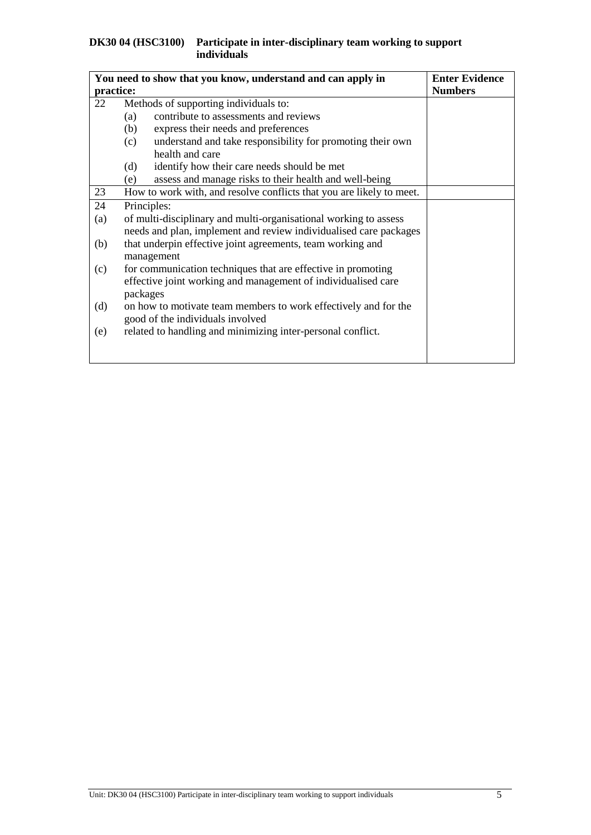|           | You need to show that you know, understand and can apply in               | <b>Enter Evidence</b> |
|-----------|---------------------------------------------------------------------------|-----------------------|
| practice: |                                                                           | <b>Numbers</b>        |
| 22        | Methods of supporting individuals to:                                     |                       |
|           | contribute to assessments and reviews<br>(a)                              |                       |
|           | (b)<br>express their needs and preferences                                |                       |
|           | understand and take responsibility for promoting their own<br>(c)         |                       |
|           | health and care                                                           |                       |
|           | identify how their care needs should be met<br>(d)                        |                       |
|           | assess and manage risks to their health and well-being<br>(e)             |                       |
| 23        | How to work with, and resolve conflicts that you are likely to meet.      |                       |
| 24        | Principles:                                                               |                       |
| (a)       | of multi-disciplinary and multi-organisational working to assess          |                       |
|           | needs and plan, implement and review individualised care packages         |                       |
| (b)       | that underpin effective joint agreements, team working and                |                       |
|           | management                                                                |                       |
| (c)       | for communication techniques that are effective in promoting              |                       |
|           | effective joint working and management of individualised care<br>packages |                       |
| (d)       | on how to motivate team members to work effectively and for the           |                       |
|           | good of the individuals involved                                          |                       |
| (e)       | related to handling and minimizing inter-personal conflict.               |                       |
|           |                                                                           |                       |
|           |                                                                           |                       |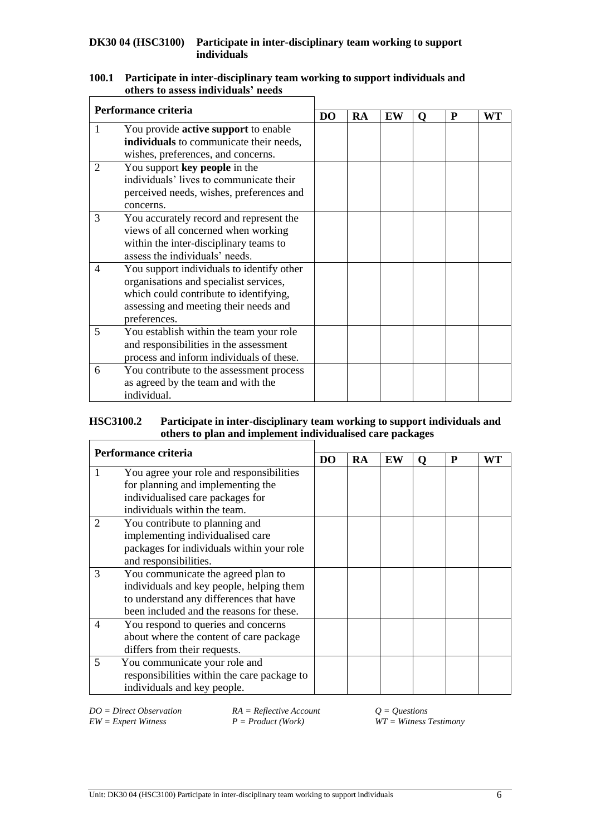#### **100.1 Participate in inter-disciplinary team working to support individuals and others to assess individuals' needs**  $\mathbf{r}$

| Performance criteria                                                               |                                                                                  |  |    |    |   |   |           |
|------------------------------------------------------------------------------------|----------------------------------------------------------------------------------|--|----|----|---|---|-----------|
|                                                                                    |                                                                                  |  | RA | EW | O | P | <b>WT</b> |
|                                                                                    | You provide <b>active support</b> to enable                                      |  |    |    |   |   |           |
|                                                                                    | individuals to communicate their needs,                                          |  |    |    |   |   |           |
|                                                                                    | wishes, preferences, and concerns.                                               |  |    |    |   |   |           |
| 2                                                                                  | You support key people in the                                                    |  |    |    |   |   |           |
|                                                                                    | individuals' lives to communicate their                                          |  |    |    |   |   |           |
|                                                                                    | perceived needs, wishes, preferences and                                         |  |    |    |   |   |           |
|                                                                                    | concerns.                                                                        |  |    |    |   |   |           |
| 3                                                                                  | You accurately record and represent the                                          |  |    |    |   |   |           |
|                                                                                    | views of all concerned when working                                              |  |    |    |   |   |           |
| within the inter-disciplinary teams to<br>assess the individuals' needs.           |                                                                                  |  |    |    |   |   |           |
|                                                                                    |                                                                                  |  |    |    |   |   |           |
| 4                                                                                  | You support individuals to identify other                                        |  |    |    |   |   |           |
|                                                                                    | organisations and specialist services,<br>which could contribute to identifying, |  |    |    |   |   |           |
|                                                                                    |                                                                                  |  |    |    |   |   |           |
| assessing and meeting their needs and                                              |                                                                                  |  |    |    |   |   |           |
|                                                                                    | preferences.                                                                     |  |    |    |   |   |           |
| 5                                                                                  | You establish within the team your role                                          |  |    |    |   |   |           |
| and responsibilities in the assessment<br>process and inform individuals of these. |                                                                                  |  |    |    |   |   |           |
|                                                                                    |                                                                                  |  |    |    |   |   |           |
| 6                                                                                  | You contribute to the assessment process                                         |  |    |    |   |   |           |
|                                                                                    | as agreed by the team and with the                                               |  |    |    |   |   |           |
|                                                                                    | individual.                                                                      |  |    |    |   |   |           |

#### **HSC3100.2 Participate in inter-disciplinary team working to support individuals and others to plan and implement individualised care packages**  $\Gamma$

| Performance criteria  |                                                                                     |    |    |    |   |   |    |
|-----------------------|-------------------------------------------------------------------------------------|----|----|----|---|---|----|
|                       |                                                                                     | DO | RA | EW | 0 | P | WТ |
|                       | You agree your role and responsibilities                                            |    |    |    |   |   |    |
|                       | for planning and implementing the<br>individualised care packages for               |    |    |    |   |   |    |
|                       | individuals within the team.                                                        |    |    |    |   |   |    |
| 2                     | You contribute to planning and                                                      |    |    |    |   |   |    |
|                       | implementing individualised care                                                    |    |    |    |   |   |    |
|                       | packages for individuals within your role                                           |    |    |    |   |   |    |
| and responsibilities. |                                                                                     |    |    |    |   |   |    |
| 3                     | You communicate the agreed plan to                                                  |    |    |    |   |   |    |
|                       | individuals and key people, helping them<br>to understand any differences that have |    |    |    |   |   |    |
|                       |                                                                                     |    |    |    |   |   |    |
|                       | been included and the reasons for these.                                            |    |    |    |   |   |    |
| 4                     | You respond to queries and concerns                                                 |    |    |    |   |   |    |
|                       | about where the content of care package<br>differs from their requests.             |    |    |    |   |   |    |
|                       |                                                                                     |    |    |    |   |   |    |
| 5                     | You communicate your role and                                                       |    |    |    |   |   |    |
|                       | responsibilities within the care package to                                         |    |    |    |   |   |    |
|                       | individuals and key people.                                                         |    |    |    |   |   |    |

*DO* = *Direct Observation RA* = *Reflective Account*  $Q = Q$ *uestions*<br>*EW* = *Expert Witness P* = *Product* (*Work*) *WT* = *Witness I* 

*EW = Expert Witness P = Product (Work) WT = Witness Testimony*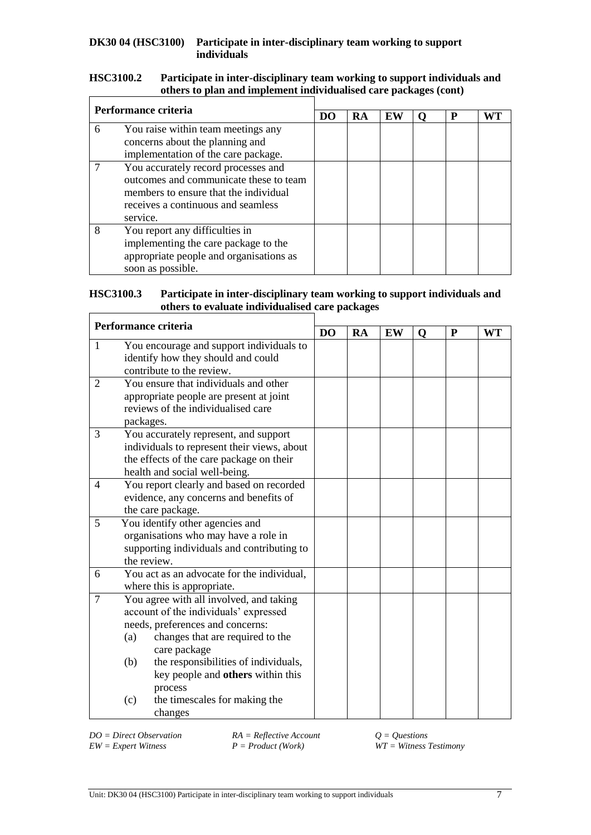#### **HSC3100.2 Participate in inter-disciplinary team working to support individuals and others to plan and implement individualised care packages (cont)**  $\mathbf{r}$

| Performance criteria |                                                                                                                                                                          |    |    |    |   |    |
|----------------------|--------------------------------------------------------------------------------------------------------------------------------------------------------------------------|----|----|----|---|----|
|                      |                                                                                                                                                                          | DO | RA | EW | P | WT |
| 6                    | You raise within team meetings any<br>concerns about the planning and<br>implementation of the care package.                                                             |    |    |    |   |    |
|                      | You accurately record processes and<br>outcomes and communicate these to team<br>members to ensure that the individual<br>receives a continuous and seamless<br>service. |    |    |    |   |    |
| 8                    | You report any difficulties in<br>implementing the care package to the<br>appropriate people and organisations as<br>soon as possible.                                   |    |    |    |   |    |

#### **HSC3100.3 Participate in inter-disciplinary team working to support individuals and others to evaluate individualised care packages**  $\mathsf{r}$

|                | Performance criteria                                                                                                                                                                                                                                                                                         |                | <b>RA</b> | EW | O | $\mathbf{P}$ | <b>WT</b> |
|----------------|--------------------------------------------------------------------------------------------------------------------------------------------------------------------------------------------------------------------------------------------------------------------------------------------------------------|----------------|-----------|----|---|--------------|-----------|
| $\mathbf{1}$   | You encourage and support individuals to<br>identify how they should and could<br>contribute to the review.                                                                                                                                                                                                  | D <sub>O</sub> |           |    |   |              |           |
| $\overline{2}$ | You ensure that individuals and other<br>appropriate people are present at joint<br>reviews of the individualised care<br>packages.                                                                                                                                                                          |                |           |    |   |              |           |
| 3              | You accurately represent, and support<br>individuals to represent their views, about<br>the effects of the care package on their<br>health and social well-being.                                                                                                                                            |                |           |    |   |              |           |
| 4              | You report clearly and based on recorded<br>evidence, any concerns and benefits of<br>the care package.                                                                                                                                                                                                      |                |           |    |   |              |           |
| 5              | You identify other agencies and<br>organisations who may have a role in<br>supporting individuals and contributing to<br>the review.                                                                                                                                                                         |                |           |    |   |              |           |
| 6              | You act as an advocate for the individual,                                                                                                                                                                                                                                                                   |                |           |    |   |              |           |
| $\overline{7}$ | where this is appropriate.<br>You agree with all involved, and taking<br>account of the individuals' expressed<br>needs, preferences and concerns:<br>changes that are required to the<br>(a)<br>care package<br>the responsibilities of individuals,<br>(b)<br>key people and others within this<br>process |                |           |    |   |              |           |
|                | the timescales for making the<br>(c)<br>changes                                                                                                                                                                                                                                                              |                |           |    |   |              |           |

*DO = Direct Observation RA = Reflective Account Q = Questions*

*EW = Expert Witness P = Product (Work) WT = Witness Testimony*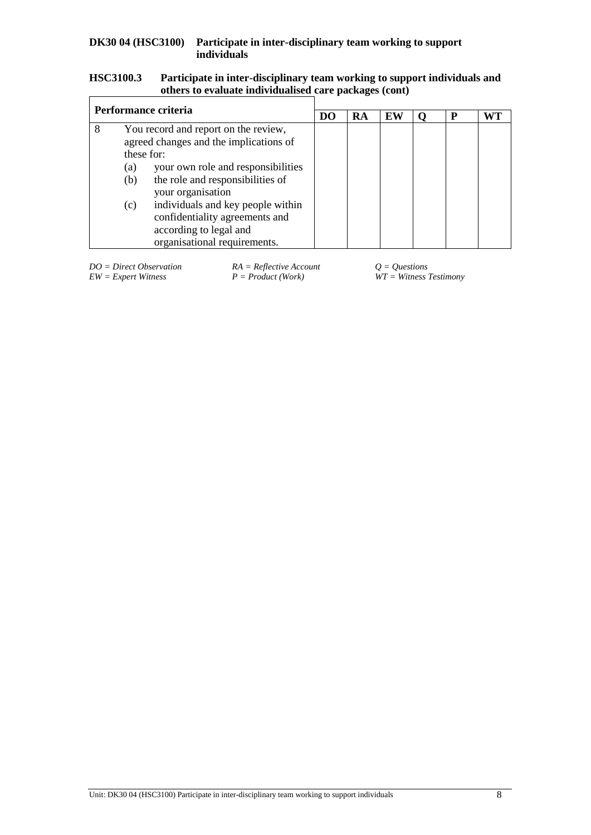#### **HSC3100.3 Participate in inter-disciplinary team working to support individuals and others to evaluate individualised care packages (cont)**  $\mathsf{r}$

| Performance criteria |                   |                                                                                                                                                                                                                                                                                                                              |                |    |    |   |    |
|----------------------|-------------------|------------------------------------------------------------------------------------------------------------------------------------------------------------------------------------------------------------------------------------------------------------------------------------------------------------------------------|----------------|----|----|---|----|
|                      |                   |                                                                                                                                                                                                                                                                                                                              | D <sub>0</sub> | RA | EW | P | WT |
| 8                    | (a)<br>(b)<br>(c) | You record and report on the review,<br>agreed changes and the implications of<br>these for:<br>your own role and responsibilities<br>the role and responsibilities of<br>your organisation<br>individuals and key people within<br>confidentiality agreements and<br>according to legal and<br>organisational requirements. |                |    |    |   |    |

*DO* = *Direct Observation RA* = *Reflective Account*  $Q = Q$ *uestions* <br>*EW* = *Expert Witness* <br>*P* = *Product* (*Work*) *WT* = *Witness* 2

 $\widetilde{W}T = \widetilde{W}$  *Witness Testimony*